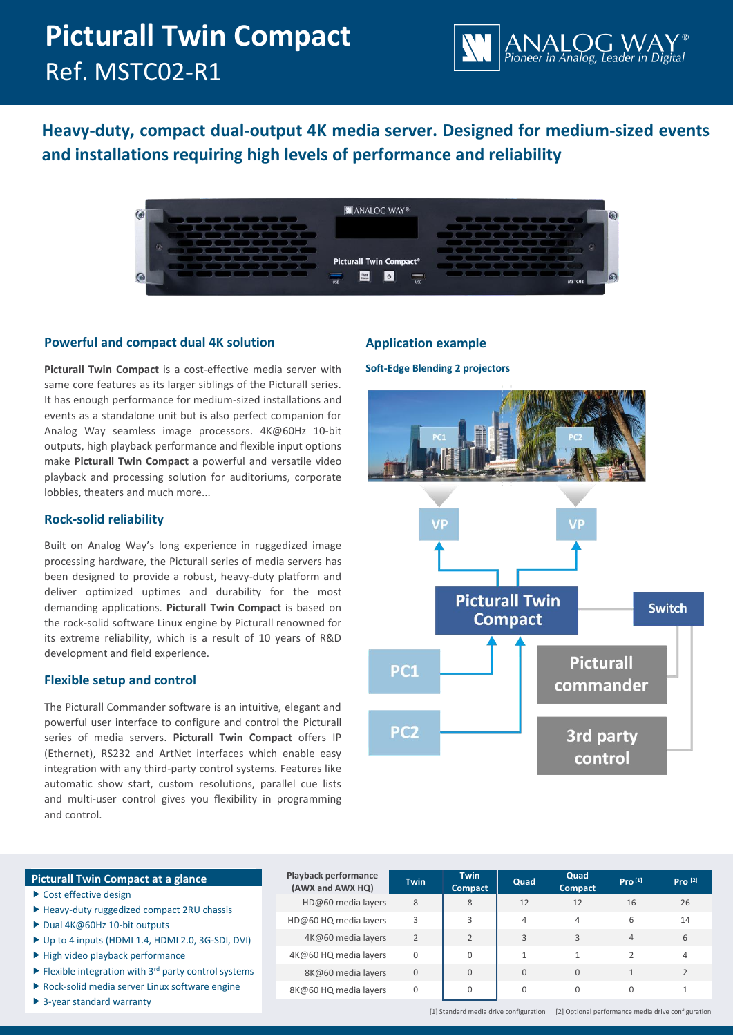# **Picturall Twin Compact** Ref. MSTC02-R1



**Heavy-duty, compact dual-output 4K media server. Designed for medium-sized events and installations requiring high levels of performance and reliability**



# **Powerful and compact dual 4K solution**

**Picturall Twin Compact** is a cost-effective media server with same core features as its larger siblings of the Picturall series. It has enough performance for medium-sized installations and events as a standalone unit but is also perfect companion for Analog Way seamless image processors. 4K@60Hz 10-bit outputs, high playback performance and flexible input options make **Picturall Twin Compact** a powerful and versatile video playback and processing solution for auditoriums, corporate lobbies, theaters and much more...

# **Rock-solid reliability**

Built on Analog Way's long experience in ruggedized image processing hardware, the Picturall series of media servers has been designed to provide a robust, heavy-duty platform and deliver optimized uptimes and durability for the most demanding applications. **Picturall Twin Compact** is based on the rock-solid software Linux engine by Picturall renowned for its extreme reliability, which is a result of 10 years of R&D development and field experience.

# **Flexible setup and control**

The Picturall Commander software is an intuitive, elegant and powerful user interface to configure and control the Picturall series of media servers. **Picturall Twin Compact** offers IP (Ethernet), RS232 and ArtNet interfaces which enable easy integration with any third-party control systems. Features like automatic show start, custom resolutions, parallel cue lists and multi-user control gives you flexibility in programming and control.

# **Application example**

**Soft-Edge Blending 2 projectors** 



# **Picturall Twin Compact at a glance**

- $\triangleright$  Cost effective design
- ▶ Heavy-duty ruggedized compact 2RU chassis
- $\triangleright$  Dual 4K@60Hz 10-bit outputs
- $\triangleright$  Up to 4 inputs (HDMI 1.4, HDMI 2.0, 3G-SDI, DV
- $\blacktriangleright$  High video playback performance
- $\blacktriangleright$  Flexible integration with 3<sup>rd</sup> party control system
- Rock-solid media server Linux software engine
- ▶ 3-year standard warranty

|     | <b>Playback performance</b><br>(AWX and AWX HQ) | <b>Twin</b>    | <b>Twin</b><br><b>Compact</b> | Quad         | Quad<br><b>Compact</b> | Pro <sup>[1]</sup> | Pro <sup>[2]</sup> |
|-----|-------------------------------------------------|----------------|-------------------------------|--------------|------------------------|--------------------|--------------------|
|     | HD@60 media layers                              | 8              | 8                             | 12           | 12                     | 16                 | 26                 |
|     | HD@60 HQ media layers                           | 3              | 3                             | 4            | $\overline{4}$         | 6                  | 14                 |
| /I) | 4K@60 media layers                              | $\overline{2}$ | $\overline{2}$                | 3            | $\mathbf{R}$           | $\overline{4}$     | 6                  |
|     | 4K@60 HQ media layers                           | 0              | $\mathbf 0$                   | $\mathbf{1}$ |                        |                    | $\overline{4}$     |
| ms  | 8K@60 media layers                              | $\overline{0}$ | $\mathbf{0}$                  | $\mathbf{0}$ | $\Omega$               |                    | $\overline{2}$     |
|     | 8K@60 HQ media layers                           | 0              | $\mathbf 0$                   | 0            | $\Omega$               | $\Omega$           |                    |

[1] Standard media drive configuration [2] Optional performance media drive configuration